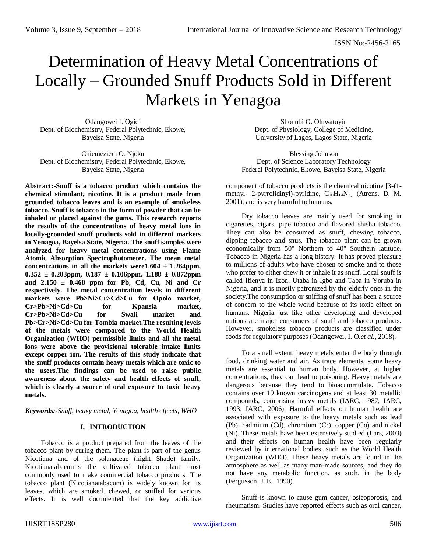# Determination of Heavy Metal Concentrations of Locally – Grounded Snuff Products Sold in Different Markets in Yenagoa

Odangowei I. Ogidi Dept. of Biochemistry, Federal Polytechnic, Ekowe, Bayelsa State, Nigeria

Chiemeziem O. Njoku Dept. of Biochemistry, Federal Polytechnic, Ekowe, Bayelsa State, Nigeria

**Abstract:-Snuff is a tobacco product which contains the chemical stimulant, nicotine. It is a product made from grounded tobacco leaves and is an example of smokeless tobacco. Snuff is tobacco in the form of powder that can be inhaled or placed against the gums. This research reports the results of the concentrations of heavy metal ions in locally-grounded snuff products sold in different markets in Yenagoa, Bayelsa State, Nigeria. The snuff samples were analyzed for heavy metal concentrations using Flame Atomic Absorption Spectrophotometer. The mean metal**  concentrations in all the markets were  $1.604 \pm 1.264$  ppm,  $0.352 \pm 0.203$ ppm,  $0.187 \pm 0.106$ ppm,  $1.188 \pm 0.872$ ppm **and 2.150 ± 0.468 ppm for Pb, Cd, Cu, Ni and Cr respectively. The metal concentration levels in different markets were Pb>Ni>Cr>Cd>Cu for Opolo market, Cr>Pb>Ni>Cd>Cu for Kpansia market, Cr>Pb>Ni>Cd>Cu for Swali market and Pb>Cr>Ni>Cd>Cu for Tombia market.The resulting levels of the metals were compared to the World Health Organization (WHO) permissible limits and all the metal ions were above the provisional tolerable intake limits except copper ion. The results of this study indicate that the snuff products contain heavy metals which are toxic to the users.The findings can be used to raise public awareness about the safety and health effects of snuff, which is clearly a source of oral exposure to toxic heavy metals.**

*Keywords:-Snuff, heavy metal, Yenagoa, health effects, WHO*

# **I. INTRODUCTION**

Tobacco is a product prepared from the leaves of the tobacco plant by curing them. The plant is part of the genus Nicotiana and of the solanaceae (night Shade) family. Nicotianatabacumis the cultivated tobacco plant most commonly used to make commercial tobacco products. The tobacco plant (Nicotianatabacum) is widely known for its leaves, which are smoked, chewed, or sniffed for various effects. It is well documented that the key addictive

Shonubi O. Oluwatoyin Dept. of Physiology, College of Medicine, University of Lagos, Lagos State, Nigeria

Blessing Johnson Dept. of Science Laboratory Technology Federal Polytechnic, Ekowe, Bayelsa State, Nigeria

component of tobacco products is the chemical nicotine [3-(1 methyl- 2-pyrrolidinyl)-pyridine, C<sub>10</sub>H<sub>14</sub>N<sub>2</sub>] (Atrens, D. M. 2001), and is very harmful to humans.

Dry tobacco leaves are mainly used for smoking in cigarettes, cigars, pipe tobacco and flavored shisha tobacco. They can also be consumed as snuff, chewing tobacco, dipping tobacco and snus. The tobacco plant can be grown economically from 50° Northern to 40° Southern latitude. Tobacco in Nigeria has a long history. It has proved pleasure to millions of adults who have chosen to smoke and to those who prefer to either chew it or inhale it as snuff. Local snuff is called Ifienya in Izon, Utaba in Igbo and Taba in Yoruba in Nigeria, and it is mostly patronized by the elderly ones in the society.The consumption or sniffing of snuff has been a source of concern to the whole world because of its toxic effect on humans. Nigeria just like other developing and developed nations are major consumers of snuff and tobacco products. However, smokeless tobacco products are classified under foods for regulatory purposes (Odangowei, I. O.*et al.*, 2018).

To a small extent, heavy metals enter the body through food, drinking water and air. As trace elements, some heavy metals are essential to human body. However, at higher concentrations, they can lead to poisoning. Heavy metals are dangerous because they tend to bioacummulate. Tobacco contains over 19 known carcinogens and at least 30 metallic compounds, comprising heavy metals (IARC, 1987; IARC, 1993; IARC, 2006). Harmful effects on human health are associated with exposure to the heavy metals such as lead (Pb), cadmium (Cd), chromium (Cr), copper (Co) and nickel (Ni). These metals have been extensively studied (Lars, 2003) and their effects on human health have been regularly reviewed by international bodies, such as the World Health Organization (WHO). These heavy metals are found in the atmosphere as well as many man-made sources, and they do not have any metabolic function, as such, in the body (Fergusson, J. E. 1990).

Snuff is known to cause gum cancer, osteoporosis, and rheumatism. Studies have reported effects such as oral cancer,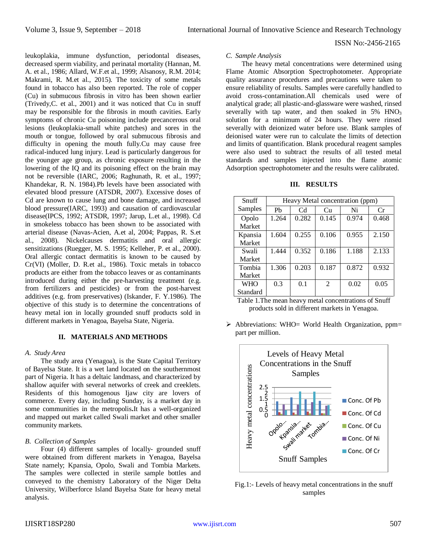ISSN No:-2456-2165

*C. Sample Analysis*

The heavy metal concentrations were determined using Flame Atomic Absorption Spectrophotometer. Appropriate quality assurance procedures and precautions were taken to ensure reliability of results. Samples were carefully handled to avoid cross-contamination.All chemicals used were of analytical grade; all plastic-and-glassware were washed, rinsed severally with tap water, and then soaked in 5% HNO<sub>3</sub> solution for a minimum of 24 hours. They were rinsed severally with deionized water before use. Blank samples of deionised water were run to calculate the limits of detection and limits of quantification. Blank procedural reagent samples were also used to subtract the results of all tested metal standards and samples injected into the flame atomic Adsorption spectrophotometer and the results were calibrated.

**III. RESULTS**

| Snuff      | Heavy Metal concentration (ppm) |                |                |       |       |
|------------|---------------------------------|----------------|----------------|-------|-------|
| Samples    | P <sub>b</sub>                  | C <sub>d</sub> | Сu             | Ni    | Cr    |
| Opolo      | 1.264                           | 0.282          | 0.145          | 0.974 | 0.468 |
| Market     |                                 |                |                |       |       |
| Kpansia    | 1.604                           | 0.255          | 0.106          | 0.955 | 2.150 |
| Market     |                                 |                |                |       |       |
| Swali      | 1.444                           | 0.352          | 0.186          | 1.188 | 2.133 |
| Market     |                                 |                |                |       |       |
| Tombia     | 1.306                           | 0.203          | 0.187          | 0.872 | 0.932 |
| Market     |                                 |                |                |       |       |
| <b>WHO</b> | 0.3                             | 0.1            | $\mathfrak{D}$ | 0.02  | 0.05  |
| Standard   |                                 |                |                |       |       |

Table 1.The mean heavy metal concentrations of Snuff products sold in different markets in Yenagoa.

 $\triangleright$  Abbreviations: WHO= World Health Organization, ppm= part per million.



Fig.1:- Levels of heavy metal concentrations in the snuff samples

leukoplakia, immune dysfunction, periodontal diseases, decreased sperm viability, and perinatal mortality (Hannan, M. A. et al., 1986; Allard, W.F.et al., 1999; Alsanosy, R.M. 2014; Makrami, R. M.et al., 2015). The toxicity of some metals found in tobacco has also been reported. The role of copper (Cu) in submucous fibrosis in vitro has been shown earlier (Trivedy,C. et al., 2001) and it was noticed that Cu in snuff may be responsible for the fibrosis in mouth cavities. Early symptoms of chronic Cu poisoning include precancerous oral lesions (leukoplakia-small white patches) and sores in the mouth or tongue, followed by oral submucous fibrosis and difficulty in opening the mouth fully.Cu may cause free radical-induced lung injury. Lead is particularly dangerous for the younger age group, as chronic exposure resulting in the lowering of the IQ and its poisoning effect on the brain may not be reversible (IARC, 2006; Raghunath, R. et al., 1997; Khandekar, R. N. 1984).Pb levels have been associated with elevated blood pressure (ATSDR, 2007). Excessive doses of Cd are known to cause lung and bone damage, and increased blood pressure(IARC, 1993) and causation of cardiovascular disease(IPCS, 1992; ATSDR, 1997; Jarup, L.et al., 1998). Cd in smokeless tobacco has been shown to be associated with arterial disease (Navas-Acien, A.et al, 2004; Pappas, R. S.et al., 2008). Nickelcauses dermatitis and oral allergic sensitizations (Ruegger, M. S. 1995; Kelleher, P. et al., 2000). Oral allergic contact dermatitis is known to be caused by Cr(VI) (Moller, D. R.et al., 1986). Toxic metals in tobacco products are either from the tobacco leaves or as contaminants introduced during either the pre-harvesting treatment (e.g. from fertilizers and pesticides) or from the post-harvest additives (e.g. from preservatives) (Iskander, F. Y.1986). The objective of this study is to determine the concentrations of heavy metal ion in locally grounded snuff products sold in different markets in Yenagoa, Bayelsa State, Nigeria.

### **II. MATERIALS AND METHODS**

### *A. Study Area*

The study area (Yenagoa), is the State Capital Territory of Bayelsa State. It is a wet land located on the southernmost part of Nigeria. It has a deltaic landmass, and characterized by shallow aquifer with several networks of creek and creeklets. Residents of this homogenous Ijaw city are lovers of commerce. Every day, including Sunday, is a market day in some communities in the metropolis**.**It has a well-organized and mapped out market called Swali market and other smaller community markets.

# *B. Collection of Samples*

Four (4) different samples of locally- grounded snuff were obtained from different markets in Yenagoa, Bayelsa State namely; Kpansia, Opolo, Swali and Tombia Markets. The samples were collected in sterile sample bottles and conveyed to the chemistry Laboratory of the Niger Delta University, Wilberforce Island Bayelsa State for heavy metal analysis.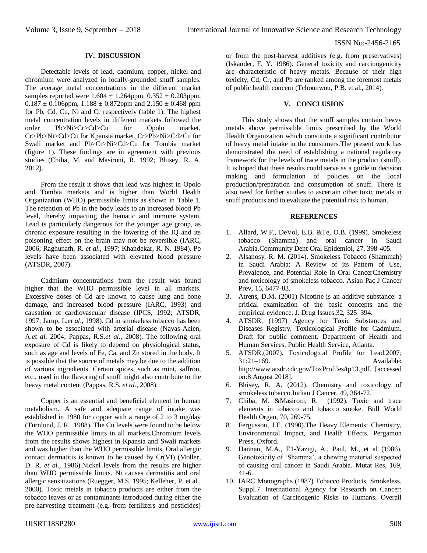### **IV. DISCUSSION**

Detectable levels of lead, cadmium, copper, nickel and chromium were analyzed in locally-grounded snuff samples. The average metal concentrations in the different market samples reported were  $1.604 \pm 1.264$ ppm,  $0.352 \pm 0.203$ ppm,  $0.187 \pm 0.106$ ppm,  $1.188 \pm 0.872$ ppm and  $2.150 \pm 0.468$  ppm for Pb, Cd, Cu, Ni and Cr respectively (table 1). The highest metal concentration levels in different markets followed the order Pb>Ni>Cr>Cd>Cu for Opolo market, Cr>Pb>Ni>Cd>Cu for Kpansia market, Cr>Pb>Ni>Cd>Cu for Swali market and Pb>Cr>Ni>Cd>Cu for Tombia market (figure 1). These findings are in agreement with previous studies (Chiba, M. and Masironi, R. 1992; Bhisey, R. A. 2012).

From the result it shows that lead was highest in Opolo and Tombia markets and is higher than World Health Organization (WHO) permissible limits as shown in Table 1. The retention of Pb in the body leads to an increased blood Pb level, thereby impacting the hematic and immune system. Lead is particularly dangerous for the younger age group, as chronic exposure resulting in the lowering of the IQ and its poisoning effect on the brain may not be reversible (IARC, 2006; Raghunath, R. *et al.*, 1997; Khandekar, R. N. 1984). Pb levels have been associated with elevated blood pressure (ATSDR, 2007).

Cadmium concentrations from the result was found higher that the WHO permissible level in all markets. Excessive doses of Cd are known to cause lung and bone damage, and increased blood pressure (IARC, 1993) and causation of cardiovascular disease (IPCS, 1992; ATSDR, 1997; Jarup, L.*et al*., 1998). Cd in smokeless tobacco has been shown to be associated with arterial disease (Navas-Acien, A.*et al*, 2004; Pappas, R.S.*et al*., 2008). The following oral exposure of Cd is likely to depend on physiological status, such as age and levels of Fe, Ca, and Zn stored in the body. It is possible that the source of metals may be due to the addition of various ingredients. Certain spices, such as mint, saffron, etc., used in the flavoring of snuff might also contribute to the heavy metal content (Pappas, R.S. *et al.*, 2008).

Copper is an essential and beneficial element in human metabolism. A safe and adequate range of intake was established in 1980 for copper with a range of 2 to 3 mg/day (Turnlund, J. R. 1988). The Cu levels were found to be below the WHO permissible limits in all markets.Chromium levels from the results shows highest in Kpansia and Swali markets and was higher than the WHO permissible limits. Oral allergic contact dermatitis is known to be caused by Cr(VI) (Moller, D. R. *et al.*, 1986).Nickel levels from the results are higher than WHO permissible limits. Ni causes dermatitis and oral allergic sensitizations (Ruegger, M.S. 1995; Kelleher, P. et al., 2000). Toxic metals in tobacco products are either from the tobacco leaves or as contaminants introduced during either the pre-harvesting treatment (e.g. from fertilizers and pesticides)

or from the post-harvest additives (e.g. from preservatives) (Iskander, F. Y. 1986). General toxicity and carcinogenicity are characteristic of heavy metals. Because of their high toxicity, Cd, Cr, and Pb are ranked among the foremost metals of public health concern (Tchounwou, P.B. et al., 2014).

# **V. CONCLUSION**

This study shows that the snuff samples contain heavy metals above permissible limits prescribed by the World Health Organization which constitute a significant contributor of heavy metal intake in the consumers.The present work has demonstrated the need of establishing a national regulatory framework for the levels of trace metals in the product (snuff). It is hoped that these results could serve as a guide in decision making and formulation of policies on the local production/preparation and consumption of snuff. There is also need for further studies to ascertain other toxic metals in snuff products and to evaluate the potential risk to human.

#### **REFERENCES**

- 1. Allard, W.F., DeVol, E.B. &Te, O.B. (1999). Smokeless tobacco (Shamma) and oral cancer in Saudi Arabia.Community Dent Oral Epidemiol, 27, 398-405.
- 2. Alsanosy, R. M. (2014). Smokeless Tobacco (Shammah) in Saudi Arabia: A Review of its Pattern of Use, Prevalence, and Potential Role in Oral CancerChemistry and toxicology of smokeless tobacco. Asian Pac J Cancer Prev, 15, 6477-83.
- 3. Atrens, D.M**.** (2001) Nicotine is an additive substance: a critical examination of the basic concepts and the empirical evidence. J. Drug Issues.32, 325–394.
- 4. ATSDR, (1997) Agency for Toxic Substances and Diseases Registry. Toxicological Profile for Cadmium. Draft for public comment. Department of Health and Human Services, Public Health Service, Atlanta.
- 5. ATSDR,(2007). Toxicological Profile for Lead.2007; 31:21–169. Available: http://www.atsdr.cdc.gov/ToxProfiles/tp13.pdf. [accessed on:8 August 2018].
- 6. Bhisey, R. A. (2012). Chemistry and toxicology of smokeless tobacco.Indian J Cancer, 49, 364-72.
- 7. Chiba, M. &Masironi, R. (1992). Toxic and trace elements in tobacco and tobacco smoke. Bull World Health Organ, 70, 269-75.
- 8. Fergusson, J.E. (1990).The Heavy Elements: Chemistry, Environmental Impact, and Health Effects*.* Pergamon Press, Oxford.
- 9. Hannan, M.A., E1-Yazigi, A., Paul, M., et al (1986). Genotoxicity of 'Shamma', a chewing material suspected of causing oral cancer in Saudi Arabia. Mutat Res, 169, 41-6.
- 10. IARC Monographs (1987) Tobacco Products, Smokeless. Suppl.7. International Agency for Research on Cancer: Evaluation of Carcinogenic Risks to Humans. Overall